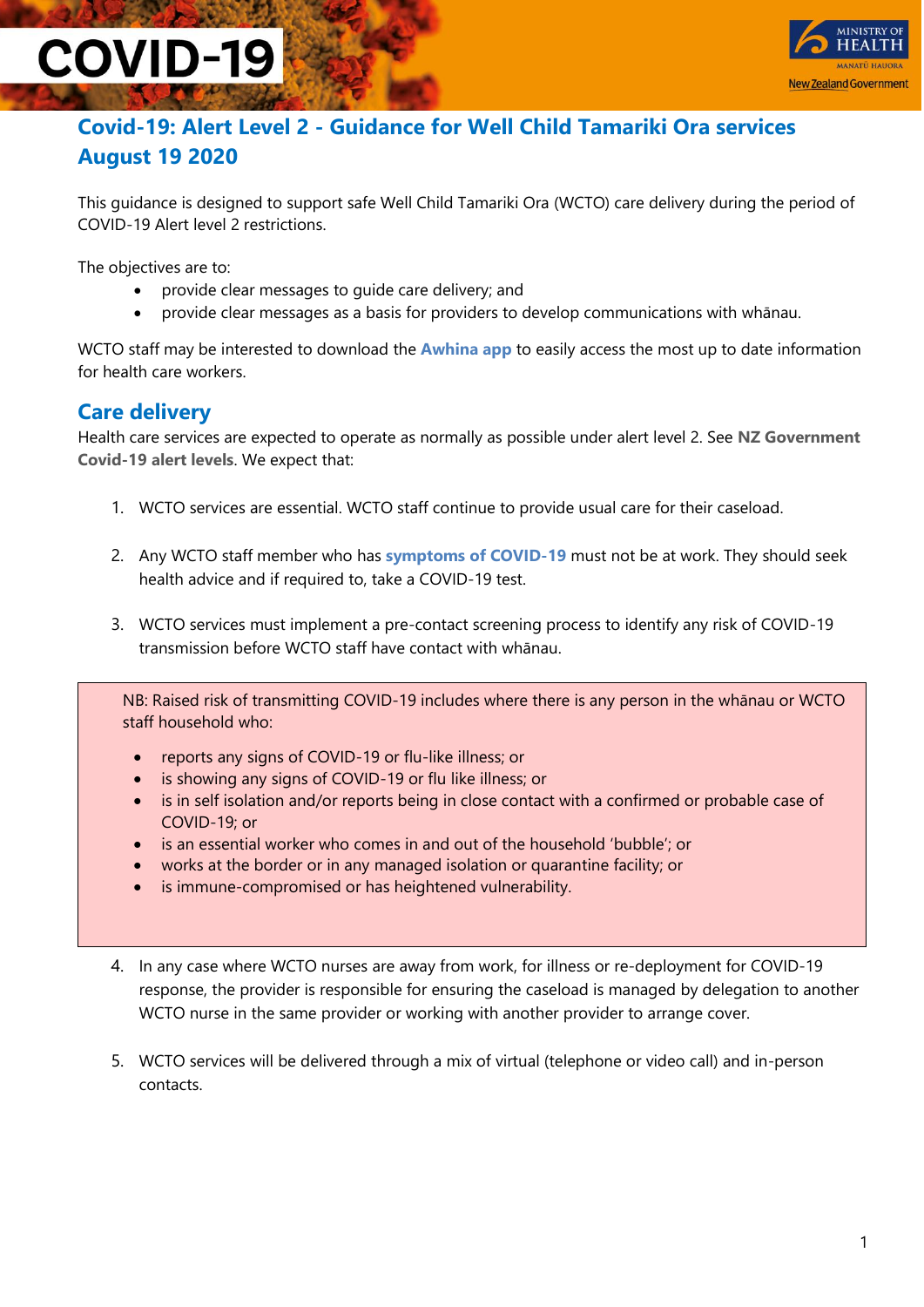# **COVID-19**



### **Covid-19: Alert Level 2 - Guidance for Well Child Tamariki Ora services August 19 2020**

This guidance is designed to support safe Well Child Tamariki Ora (WCTO) care delivery during the period of COVID-19 Alert level 2 restrictions.

The objectives are to:

- provide clear messages to guide care delivery; and
- provide clear messages as a basis for providers to develop communications with whānau.

WCTO staff may be interested to download the **[Awhina app](https://www.health.govt.nz/our-work/diseases-and-conditions/covid-19-novel-coronavirus/covid-19-resources-health-professionals/covid-19-awhina-app?gclid=EAIaIQobChMIlcWjvMeU6wIVnsEWBR2jPQK0EAAYASAAEgLtXvD_BwE)** to easily access the most up to date information for health care workers.

#### **Care delivery**

Health care services are expected to operate as normally as possible under alert level 2. See **[NZ Government](https://covid19.govt.nz/assets/resources/tables/COVID-19-alert-levels-detailed.pdf)  [Covid-19 alert levels](https://covid19.govt.nz/assets/resources/tables/COVID-19-alert-levels-detailed.pdf)**. We expect that:

- 1. WCTO services are essential. WCTO staff continue to provide usual care for their caseload.
- 2. Any WCTO staff member who has **[symptoms of COVID-19](https://www.health.govt.nz/our-work/diseases-and-conditions/covid-19-novel-coronavirus/covid-19-health-advice-general-public/about-covid-19#symptoms)** must not be at work. They should seek health advice and if required to, take a COVID-19 test.
- 3. WCTO services must implement a pre-contact screening process to identify any risk of COVID-19 transmission before WCTO staff have contact with whānau.

NB: Raised risk of transmitting COVID-19 includes where there is any person in the whānau or WCTO staff household who:

- reports any signs of COVID-19 or flu-like illness; or
- is showing any signs of COVID-19 or flu like illness; or
- is in self isolation and/or reports being in close contact with a confirmed or probable case of COVID-19; or
- is an essential worker who comes in and out of the household 'bubble'; or
- works at the border or in any managed isolation or quarantine facility; or
- is immune-compromised or has heightened vulnerability.
- 4. In any case where WCTO nurses are away from work, for illness or re-deployment for COVID-19 response, the provider is responsible for ensuring the caseload is managed by delegation to another WCTO nurse in the same provider or working with another provider to arrange cover.
- 5. WCTO services will be delivered through a mix of virtual (telephone or video call) and in-person contacts.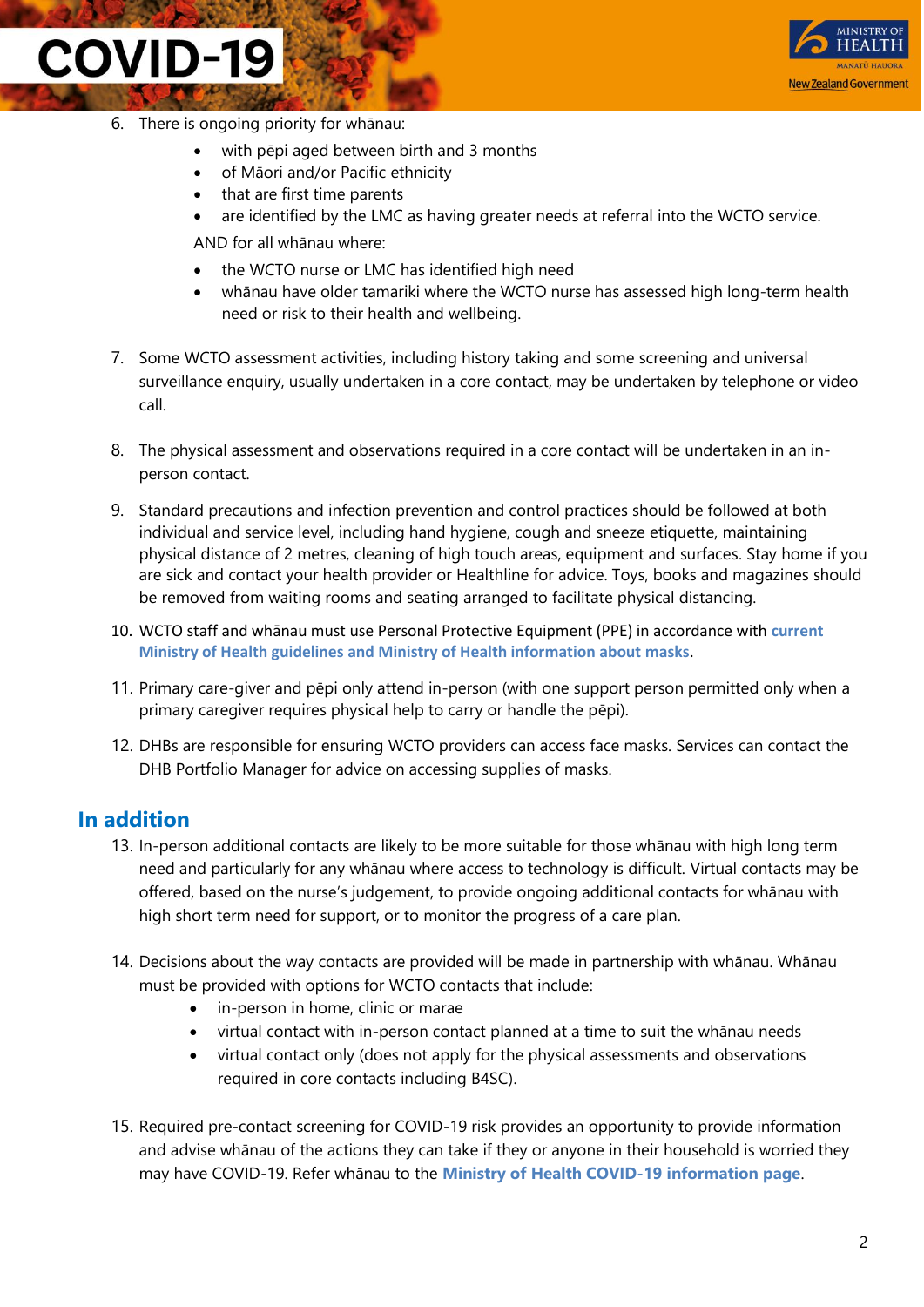### **COVID-19**



- 6. There is ongoing priority for whānau:
	- with pēpi aged between birth and 3 months
	- of Māori and/or Pacific ethnicity
	- that are first time parents
	- are identified by the LMC as having greater needs at referral into the WCTO service.

AND for all whānau where:

- the WCTO nurse or LMC has identified high need
- whānau have older tamariki where the WCTO nurse has assessed high long-term health need or risk to their health and wellbeing.
- 7. Some WCTO assessment activities, including history taking and some screening and universal surveillance enquiry, usually undertaken in a core contact, may be undertaken by telephone or video call.
- 8. The physical assessment and observations required in a core contact will be undertaken in an inperson contact.
- 9. Standard precautions and infection prevention and control practices should be followed at both individual and service level, including hand hygiene, cough and sneeze etiquette, maintaining physical distance of 2 metres, cleaning of high touch areas, equipment and surfaces. Stay home if you are sick and contact your health provider or Healthline for advice. Toys, books and magazines should be removed from waiting rooms and seating arranged to facilitate physical distancing.
- 10. WCTO staff and whānau must use Personal Protective Equipment (PPE) in accordance with **[current](https://www.health.govt.nz/our-work/diseases-and-conditions/covid-19-novel-coronavirus/covid-19-information-specific-audiences/covid-19-personal-protective-equipment-workers)  [Ministry of Health guidelines](https://www.health.govt.nz/our-work/diseases-and-conditions/covid-19-novel-coronavirus/covid-19-information-specific-audiences/covid-19-personal-protective-equipment-workers) an[d Ministry of Health information about masks](https://www.health.govt.nz/our-work/diseases-and-conditions/covid-19-novel-coronavirus/covid-19-health-advice-general-public/covid-19-use-masks-community)**.
- 11. Primary care-giver and pēpi only attend in-person (with one support person permitted only when a primary caregiver requires physical help to carry or handle the pēpi).
- 12. DHBs are responsible for ensuring WCTO providers can access face masks. Services can contact the DHB Portfolio Manager for advice on accessing supplies of masks.

#### **In addition**

- 13. In-person additional contacts are likely to be more suitable for those whānau with high long term need and particularly for any whānau where access to technology is difficult. Virtual contacts may be offered, based on the nurse's judgement, to provide ongoing additional contacts for whānau with high short term need for support, or to monitor the progress of a care plan.
- 14. Decisions about the way contacts are provided will be made in partnership with whānau. Whānau must be provided with options for WCTO contacts that include:
	- in-person in home, clinic or marae
	- virtual contact with in-person contact planned at a time to suit the whānau needs
	- virtual contact only (does not apply for the physical assessments and observations required in core contacts including B4SC).
- 15. Required pre-contact screening for COVID-19 risk provides an opportunity to provide information and advise whānau of the actions they can take if they or anyone in their household is worried they may have COVID-19. Refer whānau to the **[Ministry of Health COVID-19 information page](https://www.health.govt.nz/our-work/diseases-and-conditions/covid-19-novel-coronavirus/covid-19-health-advice-general-public/about-covid-19)**.